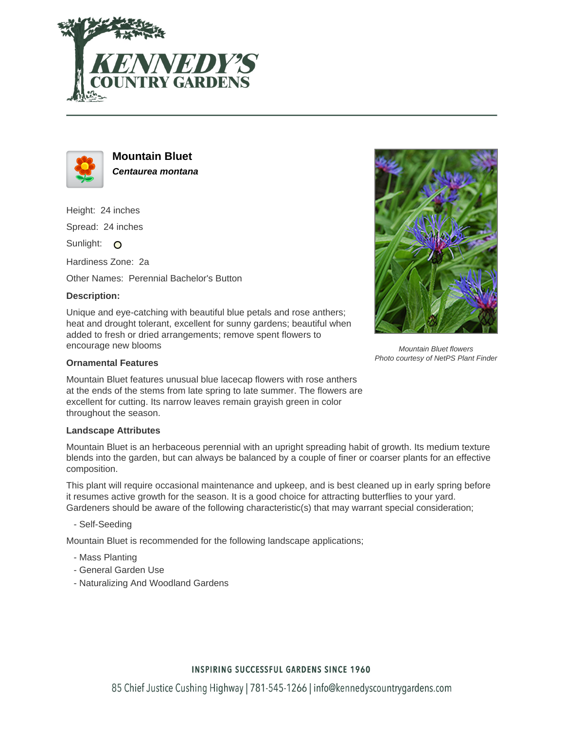



**Mountain Bluet Centaurea montana**

Height: 24 inches

Spread: 24 inches

Sunlight: O

Hardiness Zone: 2a

Other Names: Perennial Bachelor's Button

## **Description:**

Unique and eye-catching with beautiful blue petals and rose anthers; heat and drought tolerant, excellent for sunny gardens; beautiful when added to fresh or dried arrangements; remove spent flowers to encourage new blooms



Mountain Bluet features unusual blue lacecap flowers with rose anthers at the ends of the stems from late spring to late summer. The flowers are excellent for cutting. Its narrow leaves remain grayish green in color throughout the season.

## **Landscape Attributes**

Mountain Bluet is an herbaceous perennial with an upright spreading habit of growth. Its medium texture blends into the garden, but can always be balanced by a couple of finer or coarser plants for an effective composition.

This plant will require occasional maintenance and upkeep, and is best cleaned up in early spring before it resumes active growth for the season. It is a good choice for attracting butterflies to your yard. Gardeners should be aware of the following characteristic(s) that may warrant special consideration;

- Self-Seeding

Mountain Bluet is recommended for the following landscape applications;

- Mass Planting
- General Garden Use
- Naturalizing And Woodland Gardens



Mountain Bluet flowers Photo courtesy of NetPS Plant Finder

## **INSPIRING SUCCESSFUL GARDENS SINCE 1960**

85 Chief Justice Cushing Highway | 781-545-1266 | info@kennedyscountrygardens.com